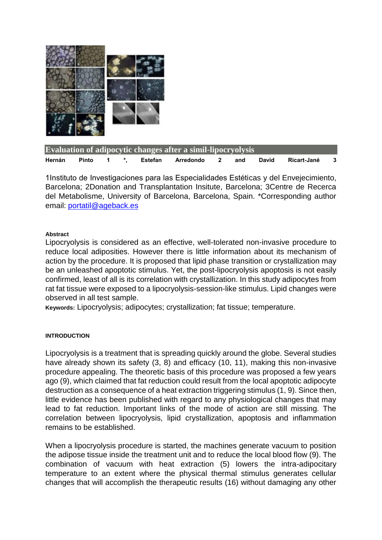

| Evaluation of adipocytic changes after a simil-lipocryolysis |       |  |               |         |           |                         |     |       |             |  |
|--------------------------------------------------------------|-------|--|---------------|---------|-----------|-------------------------|-----|-------|-------------|--|
| Hernán                                                       | Pinto |  | $\mathcal{L}$ | Estefan | Arredondo | $\overline{\mathbf{2}}$ | and | David | Ricart-Jané |  |

1Instituto de Investigaciones para las Especialidades Estéticas y del Envejecimiento, Barcelona; 2Donation and Transplantation Insitute, Barcelona; 3Centre de Recerca del Metabolisme, University of Barcelona, Barcelona, Spain. \*Corresponding author email: [portatil@ageback.es](mailto:portatil@ageback.es)

# **Abstract**

Lipocryolysis is considered as an effective, well-tolerated non-invasive procedure to reduce local adiposities. However there is little information about its mechanism of action by the procedure. It is proposed that lipid phase transition or crystallization may be an unleashed apoptotic stimulus. Yet, the post-lipocryolysis apoptosis is not easily confirmed, least of all is its correlation with crystallization. In this study adipocytes from rat fat tissue were exposed to a lipocryolysis-session-like stimulus. Lipid changes were observed in all test sample.

**Keywords:** Lipocryolysis; adipocytes; crystallization; fat tissue; temperature.

# **INTRODUCTION**

Lipocryolysis is a treatment that is spreading quickly around the globe. Several studies have already shown its safety (3, 8) and efficacy (10, 11), making this non-invasive procedure appealing. The theoretic basis of this procedure was proposed a few years ago (9), which claimed that fat reduction could result from the local apoptotic adipocyte destruction as a consequence of a heat extraction triggering stimulus (1, 9). Since then, little evidence has been published with regard to any physiological changes that may lead to fat reduction. Important links of the mode of action are still missing. The correlation between lipocryolysis, lipid crystallization, apoptosis and inflammation remains to be established.

When a lipocryolysis procedure is started, the machines generate vacuum to position the adipose tissue inside the treatment unit and to reduce the local blood flow (9). The combination of vacuum with heat extraction (5) lowers the intra-adipocitary temperature to an extent where the physical thermal stimulus generates cellular changes that will accomplish the therapeutic results (16) without damaging any other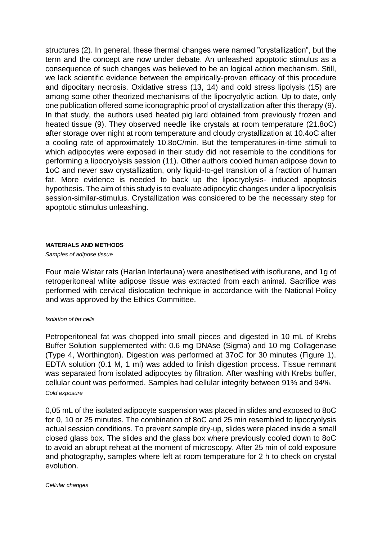structures (2). In general, these thermal changes were named "crystallization", but the term and the concept are now under debate. An unleashed apoptotic stimulus as a consequence of such changes was believed to be an logical action mechanism. Still, we lack scientific evidence between the empirically-proven efficacy of this procedure and dipocitary necrosis. Oxidative stress (13, 14) and cold stress lipolysis (15) are among some other theorized mechanisms of the lipocryolytic action. Up to date, only one publication offered some iconographic proof of crystallization after this therapy (9). In that study, the authors used heated pig lard obtained from previously frozen and heated tissue (9). They observed needle like crystals at room temperature (21.8oC) after storage over night at room temperature and cloudy crystallization at 10.4oC after a cooling rate of approximately 10.8oC/min. But the temperatures-in-time stimuli to which adipocytes were exposed in their study did not resemble to the conditions for performing a lipocryolysis session (11). Other authors cooled human adipose down to 1oC and never saw crystallization, only liquid-to-gel transition of a fraction of human fat. More evidence is needed to back up the lipocryolysis- induced apoptosis hypothesis. The aim of this study is to evaluate adipocytic changes under a lipocryolisis session-similar-stimulus. Crystallization was considered to be the necessary step for apoptotic stimulus unleashing.

### **MATERIALS AND METHODS**

*Samples of adipose tissue*

Four male Wistar rats (Harlan Interfauna) were anesthetised with isoflurane, and 1g of retroperitoneal white adipose tissue was extracted from each animal. Sacrifice was performed with cervical dislocation technique in accordance with the National Policy and was approved by the Ethics Committee.

### *Isolation of fat cells*

Petroperitoneal fat was chopped into small pieces and digested in 10 mL of Krebs Buffer Solution supplemented with: 0.6 mg DNAse (Sigma) and 10 mg Collagenase (Type 4, Worthington). Digestion was performed at 37oC for 30 minutes (Figure 1). EDTA solution (0.1 M, 1 ml) was added to finish digestion process. Tissue remnant was separated from isolated adipocytes by filtration. After washing with Krebs buffer, cellular count was performed. Samples had cellular integrity between 91% and 94%. *Cold exposure*

0,05 mL of the isolated adipocyte suspension was placed in slides and exposed to 8oC for 0, 10 or 25 minutes. The combination of 8oC and 25 min resembled to lipocryolysis actual session conditions. To prevent sample dry-up, slides were placed inside a small closed glass box. The slides and the glass box where previously cooled down to 8oC to avoid an abrupt reheat at the moment of microscopy. After 25 min of cold exposure and photography, samples where left at room temperature for 2 h to check on crystal evolution.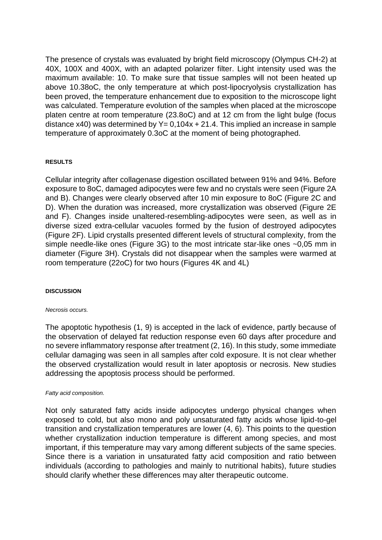The presence of crystals was evaluated by bright field microscopy (Olympus CH-2) at 40X, 100X and 400X, with an adapted polarizer filter. Light intensity used was the maximum available: 10. To make sure that tissue samples will not been heated up above 10.38oC, the only temperature at which post-lipocryolysis crystallization has been proved, the temperature enhancement due to exposition to the microscope light was calculated. Temperature evolution of the samples when placed at the microscope platen centre at room temperature (23.8oC) and at 12 cm from the light bulge (focus distance x40) was determined by  $Y = 0,104x + 21.4$ . This implied an increase in sample temperature of approximately 0.3oC at the moment of being photographed.

### **RESULTS**

Cellular integrity after collagenase digestion oscillated between 91% and 94%. Before exposure to 8oC, damaged adipocytes were few and no crystals were seen (Figure 2A and B). Changes were clearly observed after 10 min exposure to 8oC (Figure 2C and D). When the duration was increased, more crystallization was observed (Figure 2E and F). Changes inside unaltered-resembling-adipocytes were seen, as well as in diverse sized extra-cellular vacuoles formed by the fusion of destroyed adipocytes (Figure 2F). Lipid crystalls presented different levels of structural complexity, from the simple needle-like ones (Figure 3G) to the most intricate star-like ones ~0.05 mm in diameter (Figure 3H). Crystals did not disappear when the samples were warmed at room temperature (22oC) for two hours (Figures 4K and 4L)

### **DISCUSSION**

### *Necrosis occurs.*

The apoptotic hypothesis (1, 9) is accepted in the lack of evidence, partly because of the observation of delayed fat reduction response even 60 days after procedure and no severe inflammatory response after treatment (2, 16). In this study, some immediate cellular damaging was seen in all samples after cold exposure. It is not clear whether the observed crystallization would result in later apoptosis or necrosis. New studies addressing the apoptosis process should be performed.

### *Fatty acid composition.*

Not only saturated fatty acids inside adipocytes undergo physical changes when exposed to cold, but also mono and poly unsaturated fatty acids whose lipid-to-gel transition and crystallization temperatures are lower (4, 6). This points to the question whether crystallization induction temperature is different among species, and most important, if this temperature may vary among different subjects of the same species. Since there is a variation in unsaturated fatty acid composition and ratio between individuals (according to pathologies and mainly to nutritional habits), future studies should clarify whether these differences may alter therapeutic outcome.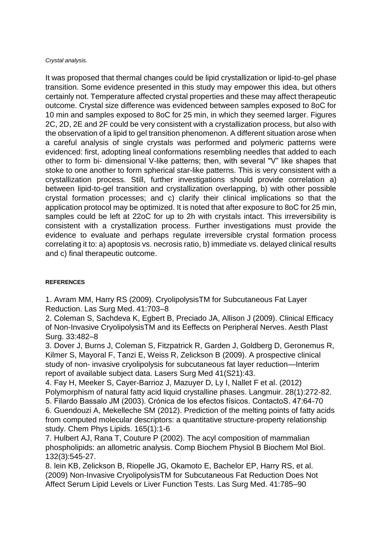### *Crystal analysis.*

It was proposed that thermal changes could be lipid crystallization or lipid-to-gel phase transition. Some evidence presented in this study may empower this idea, but others certainly not. Temperature affected crystal properties and these may affect therapeutic outcome. Crystal size difference was evidenced between samples exposed to 8oC for 10 min and samples exposed to 8oC for 25 min, in which they seemed larger. Figures 2C, 2D, 2E and 2F could be very consistent with a crystallization process, but also with the observation of a lipid to gel transition phenomenon. A different situation arose when a careful analysis of single crystals was performed and polymeric patterns were evidenced: first, adopting lineal conformations resembling needles that added to each other to form bi- dimensional V-like patterns; then, with several "V" like shapes that stoke to one another to form spherical star-like patterns. This is very consistent with a crystallization process. Still, further investigations should provide correlation a) between lipid-to-gel transition and crystallization overlapping, b) with other possible crystal formation processes; and c) clarify their clinical implications so that the application protocol may be optimized. It is noted that after exposure to 8oC for 25 min, samples could be left at 22oC for up to 2h with crystals intact. This irreversibility is consistent with a crystallization process. Further investigations must provide the evidence to evaluate and perhaps regulate irreversible crystal formation process correlating it to: a) apoptosis vs. necrosis ratio, b) immediate vs. delayed clinical results and c) final therapeutic outcome.

# **REFERENCES**

1. Avram MM, Harry RS (2009). CryolipolysisTM for Subcutaneous Fat Layer Reduction. Las Surg Med. 41:703–8

2. Coleman S, Sachdeva K, Egbert B, Preciado JA, Allison J (2009). Clinical Efficacy of Non-Invasive CryolipolysisTM and its Eeffects on Peripheral Nerves. Aesth Plast Surg. 33:482–8

3. Dover J, Burns J, Coleman S, Fitzpatrick R, Garden J, Goldberg D, Geronemus R, Kilmer S, Mayoral F, Tanzi E, Weiss R, Zelickson B (2009). A prospective clinical study of non- invasive cryolipolysis for subcutaneous fat layer reduction—Interim report of available subject data. Lasers Surg Med 41(S21):43.

4. Fay H, Meeker S, Cayer-Barrioz J, Mazuyer D, Ly I, Nallet F et al. (2012) Polymorphism of natural fatty acid liquid crystalline phases. Langmuir. 28(1):272-82. 5. Filardo Bassalo JM (2003). Crónica de los efectos físicos. ContactoS. 47:64-70 6. Guendouzi A, Mekelleche SM (2012). Prediction of the melting points of fatty acids from computed molecular descriptors: a quantitative structure-property relationship study. Chem Phys Lipids. 165(1):1-6

7. Hulbert AJ, Rana T, Couture P (2002). The acyl composition of mammalian phospholipids: an allometric analysis. Comp Biochem Physiol B Biochem Mol Biol. 132(3):545-27.

8. lein KB, Zelickson B, Riopelle JG, Okamoto E, Bachelor EP, Harry RS, et al. (2009) Non-Invasive CryolipolysisTM for Subcutaneous Fat Reduction Does Not Affect Serum Lipid Levels or Liver Function Tests. Las Surg Med. 41:785–90